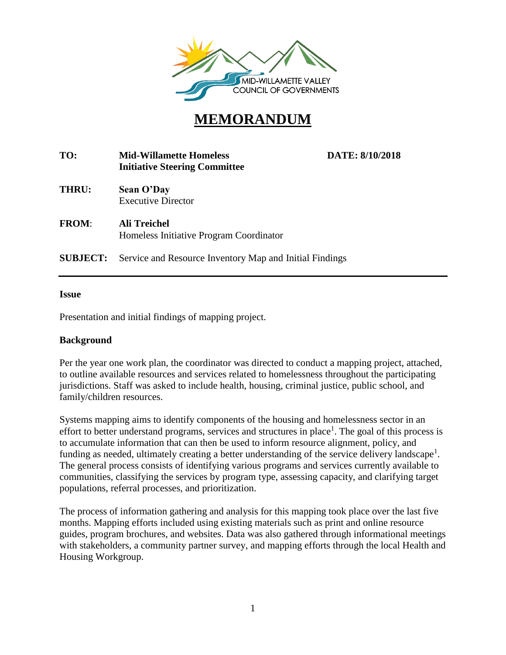

## **MEMORANDUM**

| TO:             | <b>Mid-Willamette Homeless</b><br><b>Initiative Steering Committee</b> | DATE: 8/10/2018 |
|-----------------|------------------------------------------------------------------------|-----------------|
| <b>THRU:</b>    | Sean O'Day<br><b>Executive Director</b>                                |                 |
| <b>FROM:</b>    | Ali Treichel<br>Homeless Initiative Program Coordinator                |                 |
| <b>SUBJECT:</b> | Service and Resource Inventory Map and Initial Findings                |                 |
|                 |                                                                        |                 |

#### **Issue**

Presentation and initial findings of mapping project.

#### **Background**

Per the year one work plan, the coordinator was directed to conduct a mapping project, attached, to outline available resources and services related to homelessness throughout the participating jurisdictions. Staff was asked to include health, housing, criminal justice, public school, and family/children resources.

Systems mapping aims to identify components of the housing and homelessness sector in an effort to better understand programs, services and structures in place<sup>1</sup>. The goal of this process is to accumulate information that can then be used to inform resource alignment, policy, and funding as needed, ultimately creating a better understanding of the service delivery landscape<sup>1</sup>. The general process consists of identifying various programs and services currently available to communities, classifying the services by program type, assessing capacity, and clarifying target populations, referral processes, and prioritization.

The process of information gathering and analysis for this mapping took place over the last five months. Mapping efforts included using existing materials such as print and online resource guides, program brochures, and websites. Data was also gathered through informational meetings with stakeholders, a community partner survey, and mapping efforts through the local Health and Housing Workgroup.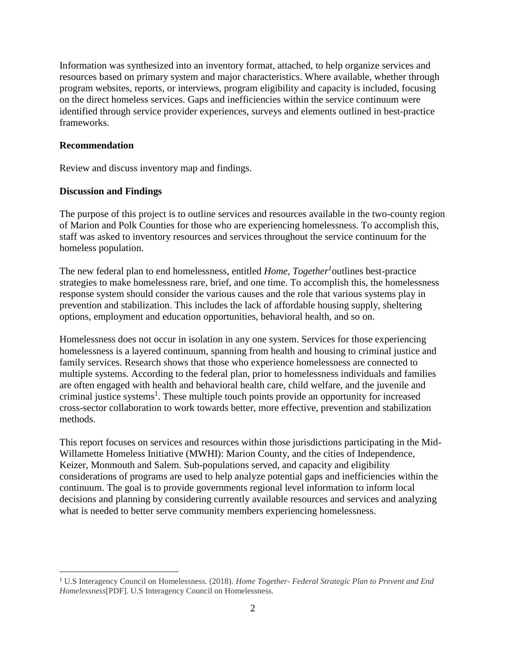Information was synthesized into an inventory format, attached, to help organize services and resources based on primary system and major characteristics. Where available, whether through program websites, reports, or interviews, program eligibility and capacity is included, focusing on the direct homeless services. Gaps and inefficiencies within the service continuum were identified through service provider experiences, surveys and elements outlined in best-practice frameworks.

#### **Recommendation**

 $\overline{a}$ 

Review and discuss inventory map and findings.

#### **Discussion and Findings**

The purpose of this project is to outline services and resources available in the two-county region of Marion and Polk Counties for those who are experiencing homelessness. To accomplish this, staff was asked to inventory resources and services throughout the service continuum for the homeless population.

The new federal plan to end homelessness, entitled *Home, Together<sup>1</sup>* outlines best-practice strategies to make homelessness rare, brief, and one time. To accomplish this, the homelessness response system should consider the various causes and the role that various systems play in prevention and stabilization. This includes the lack of affordable housing supply, sheltering options, employment and education opportunities, behavioral health, and so on.

Homelessness does not occur in isolation in any one system. Services for those experiencing homelessness is a layered continuum, spanning from health and housing to criminal justice and family services. Research shows that those who experience homelessness are connected to multiple systems. According to the federal plan, prior to homelessness individuals and families are often engaged with health and behavioral health care, child welfare, and the juvenile and criminal justice systems<sup>1</sup>. These multiple touch points provide an opportunity for increased cross-sector collaboration to work towards better, more effective, prevention and stabilization methods.

This report focuses on services and resources within those jurisdictions participating in the Mid-Willamette Homeless Initiative (MWHI): Marion County, and the cities of Independence, Keizer, Monmouth and Salem. Sub-populations served, and capacity and eligibility considerations of programs are used to help analyze potential gaps and inefficiencies within the continuum. The goal is to provide governments regional level information to inform local decisions and planning by considering currently available resources and services and analyzing what is needed to better serve community members experiencing homelessness.

<sup>1</sup> U.S Interagency Council on Homelessness. (2018). *Home Together- Federal Strategic Plan to Prevent and End Homelessness*[PDF]. U.S Interagency Council on Homelessness.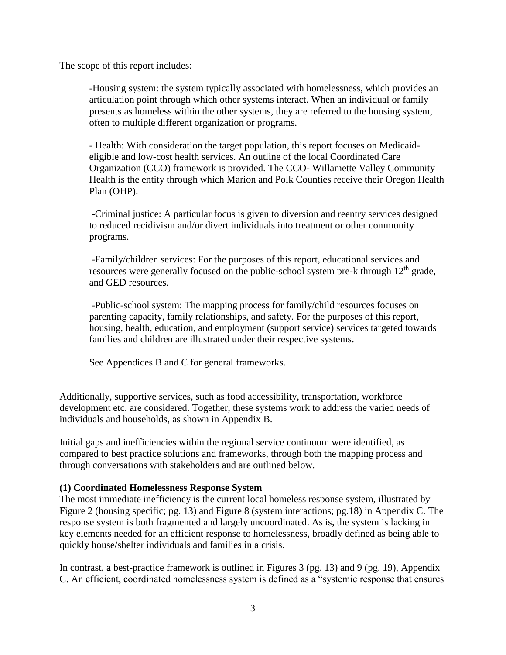The scope of this report includes:

-Housing system: the system typically associated with homelessness, which provides an articulation point through which other systems interact. When an individual or family presents as homeless within the other systems, they are referred to the housing system, often to multiple different organization or programs.

- Health: With consideration the target population, this report focuses on Medicaideligible and low-cost health services. An outline of the local Coordinated Care Organization (CCO) framework is provided. The CCO- Willamette Valley Community Health is the entity through which Marion and Polk Counties receive their Oregon Health Plan (OHP).

-Criminal justice: A particular focus is given to diversion and reentry services designed to reduced recidivism and/or divert individuals into treatment or other community programs.

-Family/children services: For the purposes of this report, educational services and resources were generally focused on the public-school system pre-k through 12<sup>th</sup> grade, and GED resources.

-Public-school system: The mapping process for family/child resources focuses on parenting capacity, family relationships, and safety. For the purposes of this report, housing, health, education, and employment (support service) services targeted towards families and children are illustrated under their respective systems.

See Appendices B and C for general frameworks.

Additionally, supportive services, such as food accessibility, transportation, workforce development etc. are considered. Together, these systems work to address the varied needs of individuals and households, as shown in Appendix B.

Initial gaps and inefficiencies within the regional service continuum were identified, as compared to best practice solutions and frameworks, through both the mapping process and through conversations with stakeholders and are outlined below.

#### **(1) Coordinated Homelessness Response System**

The most immediate inefficiency is the current local homeless response system, illustrated by Figure 2 (housing specific; pg. 13) and Figure 8 (system interactions; pg.18) in Appendix C. The response system is both fragmented and largely uncoordinated. As is, the system is lacking in key elements needed for an efficient response to homelessness, broadly defined as being able to quickly house/shelter individuals and families in a crisis.

In contrast, a best-practice framework is outlined in Figures 3 (pg. 13) and 9 (pg. 19), Appendix C. An efficient, coordinated homelessness system is defined as a "systemic response that ensures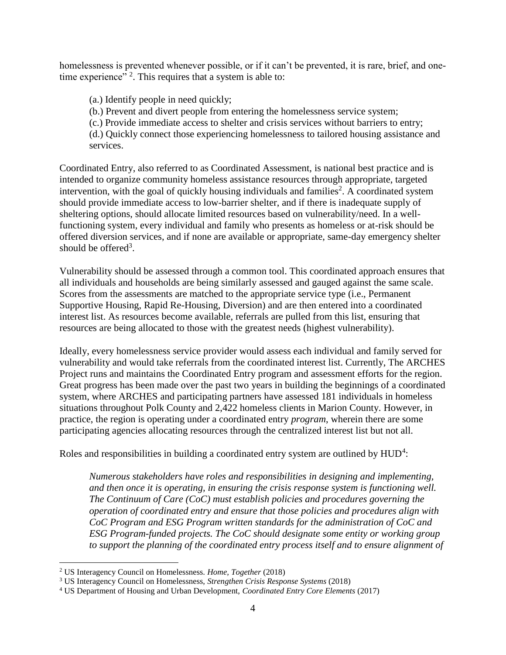homelessness is prevented whenever possible, or if it can't be prevented, it is rare, brief, and onetime experience"<sup>2</sup>. This requires that a system is able to:

(a.) Identify people in need quickly;

(b.) Prevent and divert people from entering the homelessness service system;

(c.) Provide immediate access to shelter and crisis services without barriers to entry;

(d.) Quickly connect those experiencing homelessness to tailored housing assistance and services.

Coordinated Entry, also referred to as Coordinated Assessment, is national best practice and is intended to organize community homeless assistance resources through appropriate, targeted intervention, with the goal of quickly housing individuals and families<sup>2</sup>. A coordinated system should provide immediate access to low-barrier shelter, and if there is inadequate supply of sheltering options, should allocate limited resources based on vulnerability/need. In a wellfunctioning system, every individual and family who presents as homeless or at-risk should be offered diversion services, and if none are available or appropriate, same-day emergency shelter should be offered<sup>3</sup>.

Vulnerability should be assessed through a common tool. This coordinated approach ensures that all individuals and households are being similarly assessed and gauged against the same scale. Scores from the assessments are matched to the appropriate service type (i.e., Permanent Supportive Housing, Rapid Re-Housing, Diversion) and are then entered into a coordinated interest list. As resources become available, referrals are pulled from this list, ensuring that resources are being allocated to those with the greatest needs (highest vulnerability).

Ideally, every homelessness service provider would assess each individual and family served for vulnerability and would take referrals from the coordinated interest list. Currently, The ARCHES Project runs and maintains the Coordinated Entry program and assessment efforts for the region. Great progress has been made over the past two years in building the beginnings of a coordinated system, where ARCHES and participating partners have assessed 181 individuals in homeless situations throughout Polk County and 2,422 homeless clients in Marion County. However, in practice, the region is operating under a coordinated entry *program*, wherein there are some participating agencies allocating resources through the centralized interest list but not all.

Roles and responsibilities in building a coordinated entry system are outlined by  $HUD<sup>4</sup>$ :

*Numerous stakeholders have roles and responsibilities in designing and implementing, and then once it is operating, in ensuring the crisis response system is functioning well. The Continuum of Care (CoC) must establish policies and procedures governing the operation of coordinated entry and ensure that those policies and procedures align with CoC Program and ESG Program written standards for the administration of CoC and ESG Program-funded projects. The CoC should designate some entity or working group to support the planning of the coordinated entry process itself and to ensure alignment of* 

<sup>2</sup> US Interagency Council on Homelessness. *Home, Together* (2018)

<sup>3</sup> US Interagency Council on Homelessness, *Strengthen Crisis Response Systems* (2018)

<sup>4</sup> US Department of Housing and Urban Development, *Coordinated Entry Core Elements* (2017)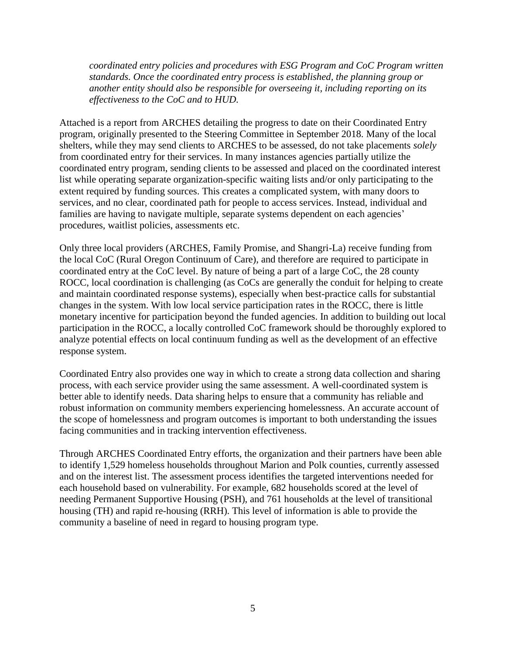*coordinated entry policies and procedures with ESG Program and CoC Program written standards. Once the coordinated entry process is established, the planning group or another entity should also be responsible for overseeing it, including reporting on its effectiveness to the CoC and to HUD.* 

Attached is a report from ARCHES detailing the progress to date on their Coordinated Entry program, originally presented to the Steering Committee in September 2018. Many of the local shelters, while they may send clients to ARCHES to be assessed, do not take placements *solely* from coordinated entry for their services. In many instances agencies partially utilize the coordinated entry program, sending clients to be assessed and placed on the coordinated interest list while operating separate organization-specific waiting lists and/or only participating to the extent required by funding sources. This creates a complicated system, with many doors to services, and no clear, coordinated path for people to access services. Instead, individual and families are having to navigate multiple, separate systems dependent on each agencies' procedures, waitlist policies, assessments etc.

Only three local providers (ARCHES, Family Promise, and Shangri-La) receive funding from the local CoC (Rural Oregon Continuum of Care), and therefore are required to participate in coordinated entry at the CoC level. By nature of being a part of a large CoC, the 28 county ROCC, local coordination is challenging (as CoCs are generally the conduit for helping to create and maintain coordinated response systems), especially when best-practice calls for substantial changes in the system. With low local service participation rates in the ROCC, there is little monetary incentive for participation beyond the funded agencies. In addition to building out local participation in the ROCC, a locally controlled CoC framework should be thoroughly explored to analyze potential effects on local continuum funding as well as the development of an effective response system.

Coordinated Entry also provides one way in which to create a strong data collection and sharing process, with each service provider using the same assessment. A well-coordinated system is better able to identify needs. Data sharing helps to ensure that a community has reliable and robust information on community members experiencing homelessness. An accurate account of the scope of homelessness and program outcomes is important to both understanding the issues facing communities and in tracking intervention effectiveness.

Through ARCHES Coordinated Entry efforts, the organization and their partners have been able to identify 1,529 homeless households throughout Marion and Polk counties, currently assessed and on the interest list. The assessment process identifies the targeted interventions needed for each household based on vulnerability. For example, 682 households scored at the level of needing Permanent Supportive Housing (PSH), and 761 households at the level of transitional housing (TH) and rapid re-housing (RRH). This level of information is able to provide the community a baseline of need in regard to housing program type.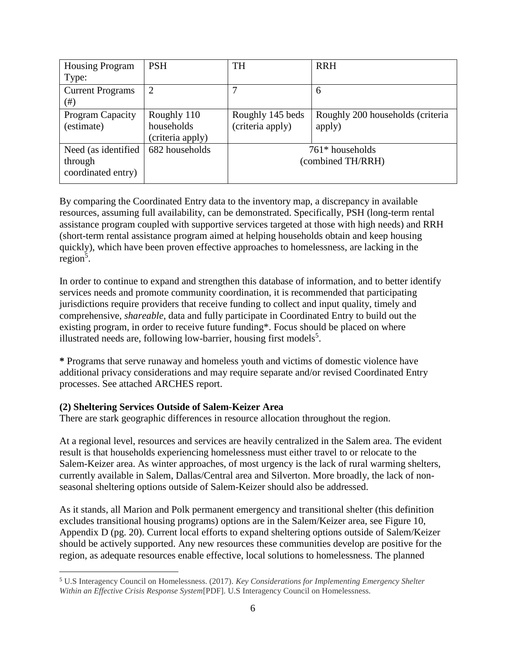| <b>PSH</b>       | <b>TH</b>        | <b>RRH</b>                       |
|------------------|------------------|----------------------------------|
|                  |                  |                                  |
| $\overline{2}$   |                  | 6                                |
|                  |                  |                                  |
| Roughly 110      | Roughly 145 beds | Roughly 200 households (criteria |
| households       | (criteria apply) | apply)                           |
| (criteria apply) |                  |                                  |
| 682 households   |                  | $761*$ households                |
|                  |                  | (combined TH/RRH)                |
|                  |                  |                                  |
|                  |                  |                                  |

By comparing the Coordinated Entry data to the inventory map, a discrepancy in available resources, assuming full availability, can be demonstrated. Specifically, PSH (long-term rental assistance program coupled with supportive services targeted at those with high needs) and RRH (short-term rental assistance program aimed at helping households obtain and keep housing quickly), which have been proven effective approaches to homelessness, are lacking in the region<sup>5</sup>.

In order to continue to expand and strengthen this database of information, and to better identify services needs and promote community coordination, it is recommended that participating jurisdictions require providers that receive funding to collect and input quality, timely and comprehensive, *shareable*, data and fully participate in Coordinated Entry to build out the existing program, in order to receive future funding\*. Focus should be placed on where illustrated needs are, following low-barrier, housing first models<sup>5</sup>.

**\*** Programs that serve runaway and homeless youth and victims of domestic violence have additional privacy considerations and may require separate and/or revised Coordinated Entry processes. See attached ARCHES report.

#### **(2) Sheltering Services Outside of Salem-Keizer Area**

 $\overline{a}$ 

There are stark geographic differences in resource allocation throughout the region.

At a regional level, resources and services are heavily centralized in the Salem area. The evident result is that households experiencing homelessness must either travel to or relocate to the Salem-Keizer area. As winter approaches, of most urgency is the lack of rural warming shelters, currently available in Salem, Dallas/Central area and Silverton. More broadly, the lack of nonseasonal sheltering options outside of Salem-Keizer should also be addressed.

As it stands, all Marion and Polk permanent emergency and transitional shelter (this definition excludes transitional housing programs) options are in the Salem/Keizer area, see Figure 10, Appendix D (pg. 20). Current local efforts to expand sheltering options outside of Salem/Keizer should be actively supported. Any new resources these communities develop are positive for the region, as adequate resources enable effective, local solutions to homelessness. The planned

<sup>5</sup> U.S Interagency Council on Homelessness. (2017). *Key Considerations for Implementing Emergency Shelter Within an Effective Crisis Response System*[PDF]. U.S Interagency Council on Homelessness.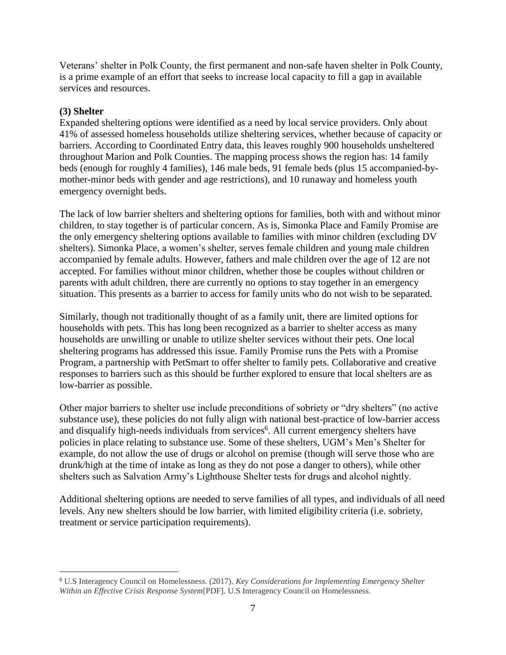Veterans' shelter in Polk County, the first permanent and non-safe haven shelter in Polk County, is a prime example of an effort that seeks to increase local capacity to fill a gap in available services and resources.

#### **(3) Shelter**

 $\overline{a}$ 

Expanded sheltering options were identified as a need by local service providers. Only about 41% of assessed homeless households utilize sheltering services, whether because of capacity or barriers. According to Coordinated Entry data, this leaves roughly 900 households unsheltered throughout Marion and Polk Counties. The mapping process shows the region has: 14 family beds (enough for roughly 4 families), 146 male beds, 91 female beds (plus 15 accompanied-bymother-minor beds with gender and age restrictions), and 10 runaway and homeless youth emergency overnight beds.

The lack of low barrier shelters and sheltering options for families, both with and without minor children, to stay together is of particular concern. As is, Simonka Place and Family Promise are the only emergency sheltering options available to families with minor children (excluding DV shelters). Simonka Place, a women's shelter, serves female children and young male children accompanied by female adults. However, fathers and male children over the age of 12 are not accepted. For families without minor children, whether those be couples without children or parents with adult children, there are currently no options to stay together in an emergency situation. This presents as a barrier to access for family units who do not wish to be separated.

Similarly, though not traditionally thought of as a family unit, there are limited options for households with pets. This has long been recognized as a barrier to shelter access as many households are unwilling or unable to utilize shelter services without their pets. One local sheltering programs has addressed this issue. Family Promise runs the Pets with a Promise Program, a partnership with PetSmart to offer shelter to family pets. Collaborative and creative responses to barriers such as this should be further explored to ensure that local shelters are as low-barrier as possible.

Other major barriers to shelter use include preconditions of sobriety or "dry shelters" (no active substance use), these policies do not fully align with national best-practice of low-barrier access and disqualify high-needs individuals from services<sup>6</sup>. All current emergency shelters have policies in place relating to substance use. Some of these shelters, UGM's Men's Shelter for example, do not allow the use of drugs or alcohol on premise (though will serve those who are drunk/high at the time of intake as long as they do not pose a danger to others), while other shelters such as Salvation Army's Lighthouse Shelter tests for drugs and alcohol nightly.

Additional sheltering options are needed to serve families of all types, and individuals of all need levels. Any new shelters should be low barrier, with limited eligibility criteria (i.e. sobriety, treatment or service participation requirements).

<sup>6</sup> U.S Interagency Council on Homelessness. (2017). *Key Considerations for Implementing Emergency Shelter Within an Effective Crisis Response System*[PDF]. U.S Interagency Council on Homelessness.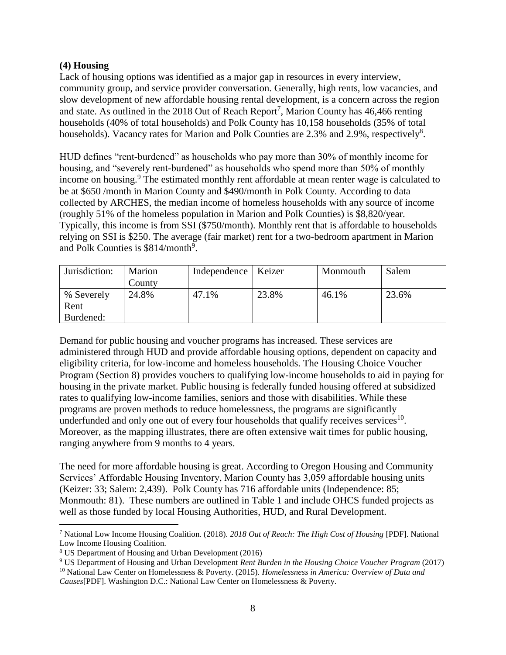#### **(4) Housing**

Lack of housing options was identified as a major gap in resources in every interview, community group, and service provider conversation. Generally, high rents, low vacancies, and slow development of new affordable housing rental development, is a concern across the region and state. As outlined in the 2018 Out of Reach Report<sup>7</sup>, Marion County has  $46,466$  renting households (40% of total households) and Polk County has 10,158 households (35% of total households). Vacancy rates for Marion and Polk Counties are 2.3% and 2.9%, respectively<sup>8</sup>.

HUD defines "rent-burdened" as households who pay more than 30% of monthly income for housing, and "severely rent-burdened" as households who spend more than 50% of monthly income on housing.<sup>9</sup> The estimated monthly rent affordable at mean renter wage is calculated to be at \$650 /month in Marion County and \$490/month in Polk County. According to data collected by ARCHES, the median income of homeless households with any source of income (roughly 51% of the homeless population in Marion and Polk Counties) is \$8,820/year. Typically, this income is from SSI (\$750/month). Monthly rent that is affordable to households relying on SSI is \$250. The average (fair market) rent for a two-bedroom apartment in Marion and Polk Counties is \$814/month<sup>9</sup>.

| Jurisdiction: | Marion<br>County | Independence   Keizer |       | Monmouth | Salem |
|---------------|------------------|-----------------------|-------|----------|-------|
| % Severely    | 24.8%            | 47.1%                 | 23.8% | 46.1%    | 23.6% |
| Rent          |                  |                       |       |          |       |
| Burdened:     |                  |                       |       |          |       |

Demand for public housing and voucher programs has increased. These services are administered through HUD and provide affordable housing options, dependent on capacity and eligibility criteria, for low-income and homeless households. The Housing Choice Voucher Program (Section 8) provides vouchers to qualifying low-income households to aid in paying for housing in the private market. Public housing is federally funded housing offered at subsidized rates to qualifying low-income families, seniors and those with disabilities. While these programs are proven methods to reduce homelessness, the programs are significantly underfunded and only one out of every four households that qualify receives services<sup>10</sup>. Moreover, as the mapping illustrates, there are often extensive wait times for public housing, ranging anywhere from 9 months to 4 years.

The need for more affordable housing is great. According to Oregon Housing and Community Services' Affordable Housing Inventory, Marion County has 3,059 affordable housing units (Keizer: 33; Salem: 2,439). Polk County has 716 affordable units (Independence: 85; Monmouth: 81). These numbers are outlined in Table 1 and include OHCS funded projects as well as those funded by local Housing Authorities, HUD, and Rural Development.

 $\overline{a}$ <sup>7</sup> National Low Income Housing Coalition. (2018). *2018 Out of Reach: The High Cost of Housing* [PDF]. National Low Income Housing Coalition.

<sup>8</sup> US Department of Housing and Urban Development (2016)

<sup>9</sup> US Department of Housing and Urban Development *Rent Burden in the Housing Choice Voucher Program* (2017) <sup>10</sup> National Law Center on Homelessness & Poverty. (2015). *Homelessness in America: Overview of Data and*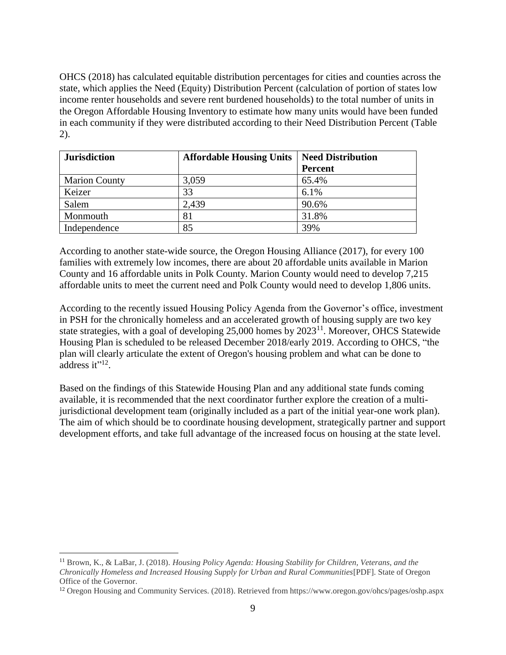OHCS (2018) has calculated equitable distribution percentages for cities and counties across the state, which applies the Need (Equity) Distribution Percent (calculation of portion of states low income renter households and severe rent burdened households) to the total number of units in the Oregon Affordable Housing Inventory to estimate how many units would have been funded in each community if they were distributed according to their Need Distribution Percent (Table 2).

| <b>Jurisdiction</b>  | <b>Affordable Housing Units</b> | <b>Need Distribution</b> |
|----------------------|---------------------------------|--------------------------|
|                      |                                 | <b>Percent</b>           |
| <b>Marion County</b> | 3,059                           | 65.4%                    |
| Keizer               | 33                              | 6.1%                     |
| Salem                | 2,439                           | 90.6%                    |
| Monmouth             | 81                              | 31.8%                    |
| Independence         | 85                              | 39%                      |

According to another state-wide source, the Oregon Housing Alliance (2017), for every 100 families with extremely low incomes, there are about 20 affordable units available in Marion County and 16 affordable units in Polk County. Marion County would need to develop 7,215 affordable units to meet the current need and Polk County would need to develop 1,806 units.

According to the recently issued Housing Policy Agenda from the Governor's office, investment in PSH for the chronically homeless and an accelerated growth of housing supply are two key state strategies, with a goal of developing  $25,000$  homes by  $2023<sup>11</sup>$ . Moreover, OHCS Statewide Housing Plan is scheduled to be released December 2018/early 2019. According to OHCS, "the plan will clearly articulate the extent of Oregon's housing problem and what can be done to address it" $^{12}$ .

Based on the findings of this Statewide Housing Plan and any additional state funds coming available, it is recommended that the next coordinator further explore the creation of a multijurisdictional development team (originally included as a part of the initial year-one work plan). The aim of which should be to coordinate housing development, strategically partner and support development efforts, and take full advantage of the increased focus on housing at the state level.

<sup>11</sup> Brown, K., & LaBar, J. (2018). *Housing Policy Agenda: Housing Stability for Children, Veterans, and the Chronically Homeless and Increased Housing Supply for Urban and Rural Communities*[PDF]. State of Oregon Office of the Governor.

<sup>12</sup> Oregon Housing and Community Services. (2018). Retrieved from https://www.oregon.gov/ohcs/pages/oshp.aspx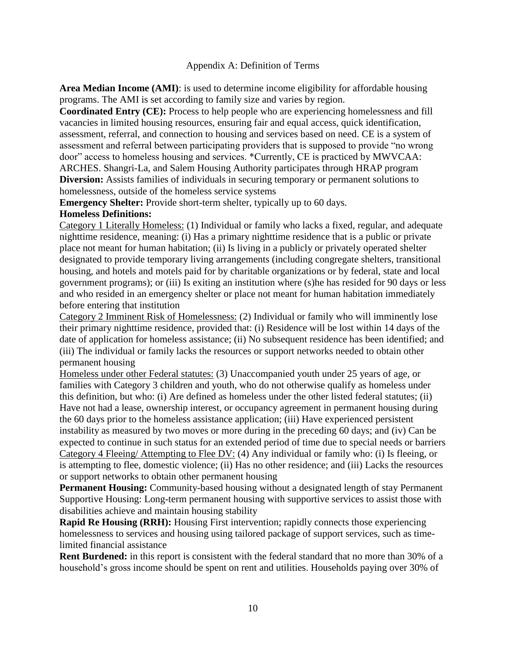#### Appendix A: Definition of Terms

**Area Median Income (AMI)**: is used to determine income eligibility for affordable housing programs. The AMI is set according to family size and varies by region.

**Coordinated Entry (CE):** Process to help people who are experiencing homelessness and fill vacancies in limited housing resources, ensuring fair and equal access, quick identification, assessment, referral, and connection to housing and services based on need. CE is a system of assessment and referral between participating providers that is supposed to provide "no wrong door" access to homeless housing and services. \*Currently, CE is practiced by MWVCAA: ARCHES. Shangri-La, and Salem Housing Authority participates through HRAP program **Diversion:** Assists families of individuals in securing temporary or permanent solutions to homelessness, outside of the homeless service systems

**Emergency Shelter:** Provide short-term shelter, typically up to 60 days.

#### **Homeless Definitions:**

Category 1 Literally Homeless: (1) Individual or family who lacks a fixed, regular, and adequate nighttime residence, meaning: (i) Has a primary nighttime residence that is a public or private place not meant for human habitation; (ii) Is living in a publicly or privately operated shelter designated to provide temporary living arrangements (including congregate shelters, transitional housing, and hotels and motels paid for by charitable organizations or by federal, state and local government programs); or (iii) Is exiting an institution where (s)he has resided for 90 days or less and who resided in an emergency shelter or place not meant for human habitation immediately before entering that institution

Category 2 Imminent Risk of Homelessness: (2) Individual or family who will imminently lose their primary nighttime residence, provided that: (i) Residence will be lost within 14 days of the date of application for homeless assistance; (ii) No subsequent residence has been identified; and (iii) The individual or family lacks the resources or support networks needed to obtain other permanent housing

Homeless under other Federal statutes: (3) Unaccompanied youth under 25 years of age, or families with Category 3 children and youth, who do not otherwise qualify as homeless under this definition, but who: (i) Are defined as homeless under the other listed federal statutes; (ii) Have not had a lease, ownership interest, or occupancy agreement in permanent housing during the 60 days prior to the homeless assistance application; (iii) Have experienced persistent instability as measured by two moves or more during in the preceding 60 days; and (iv) Can be expected to continue in such status for an extended period of time due to special needs or barriers Category 4 Fleeing/ Attempting to Flee DV: (4) Any individual or family who: (i) Is fleeing, or is attempting to flee, domestic violence; (ii) Has no other residence; and (iii) Lacks the resources or support networks to obtain other permanent housing

**Permanent Housing:** Community-based housing without a designated length of stay Permanent Supportive Housing: Long-term permanent housing with supportive services to assist those with disabilities achieve and maintain housing stability

**Rapid Re Housing (RRH):** Housing First intervention; rapidly connects those experiencing homelessness to services and housing using tailored package of support services, such as timelimited financial assistance

**Rent Burdened:** in this report is consistent with the federal standard that no more than 30% of a household's gross income should be spent on rent and utilities. Households paying over 30% of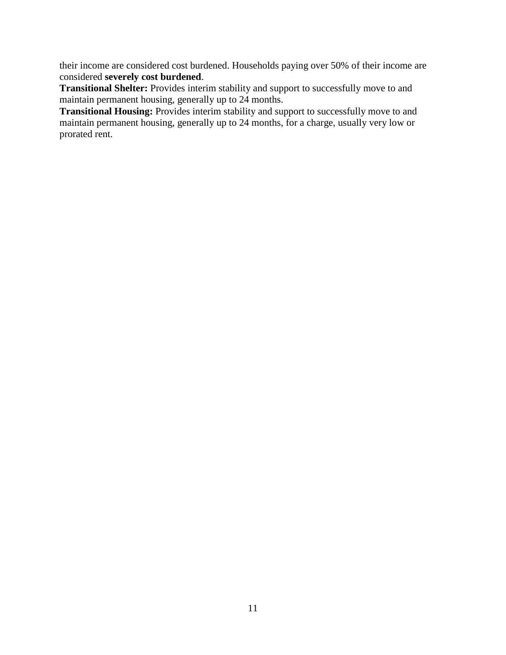their income are considered cost burdened. Households paying over 50% of their income are considered **severely cost burdened**.

**Transitional Shelter:** Provides interim stability and support to successfully move to and maintain permanent housing, generally up to 24 months.

**Transitional Housing:** Provides interim stability and support to successfully move to and maintain permanent housing, generally up to 24 months, for a charge, usually very low or prorated rent.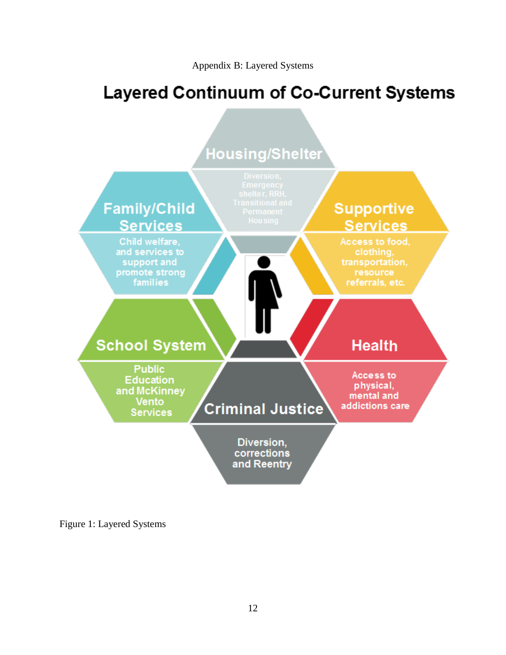# **Layered Continuum of Co-Current Systems**



Figure 1: Layered Systems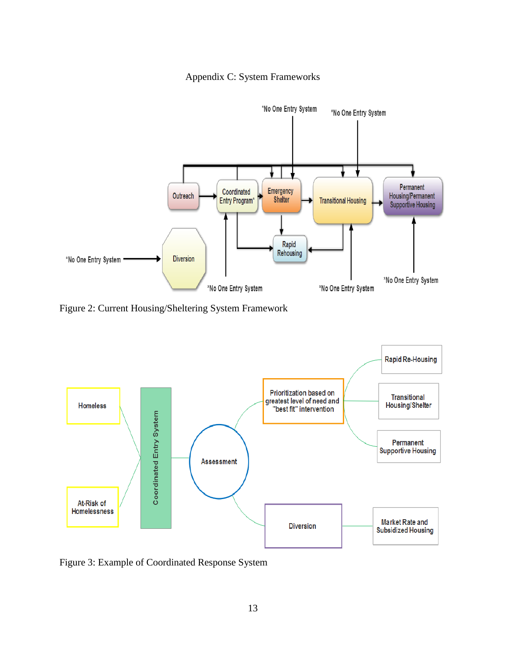



Figure 2: Current Housing/Sheltering System Framework



Figure 3: Example of Coordinated Response System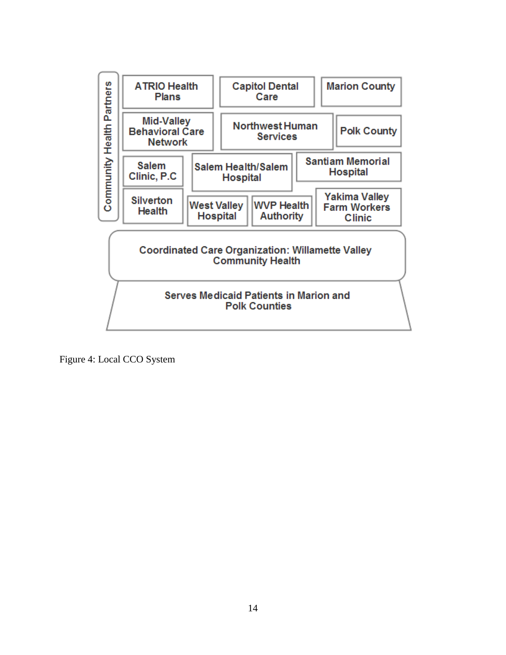

Figure 4: Local CCO System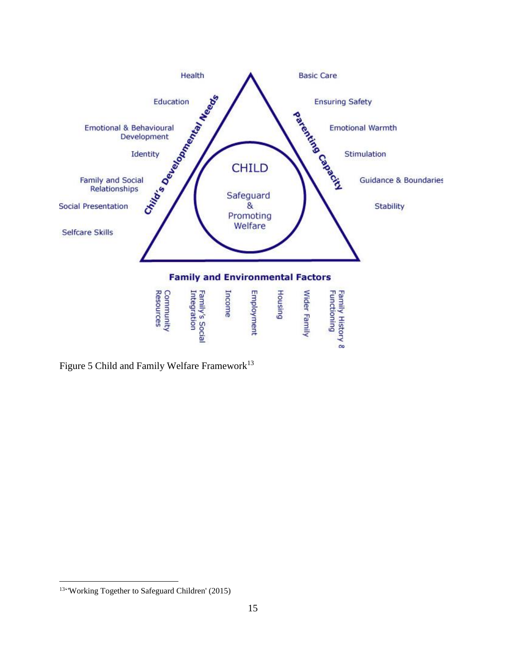

Figure 5 Child and Family Welfare Framework<sup>13</sup>

<sup>13&</sup>quot; Working Together to Safeguard Children' (2015)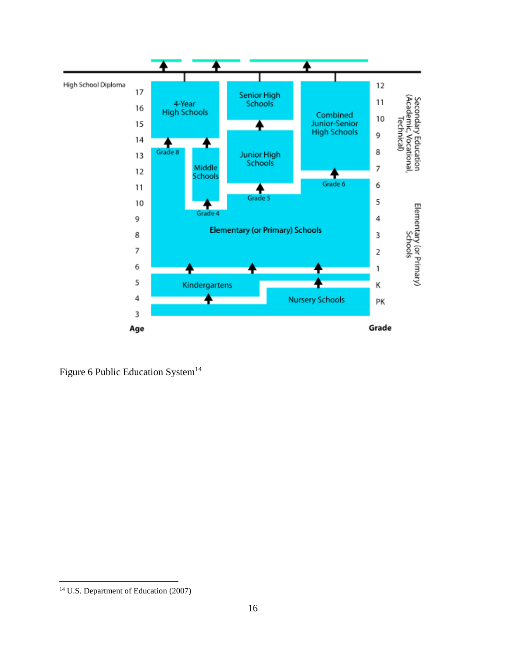

Figure 6 Public Education System<sup>14</sup>

<sup>14</sup> U.S. Department of Education (2007)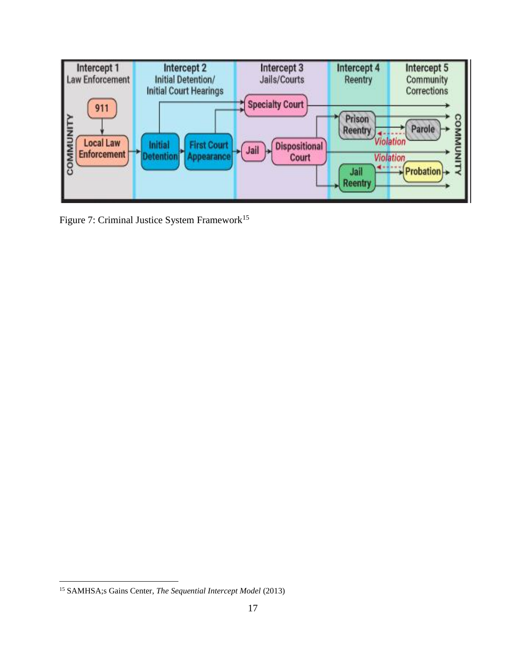

Figure 7: Criminal Justice System Framework<sup>15</sup>

<sup>15</sup> SAMHSA;s Gains Center, *The Sequential Intercept Model* (2013)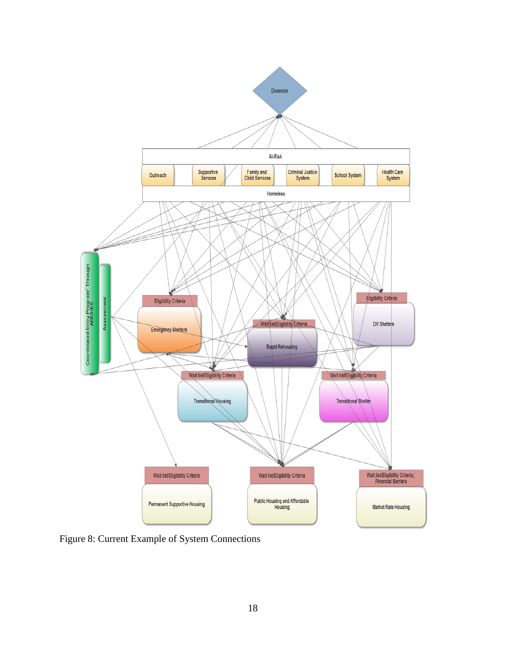

Figure 8: Current Example of System Connections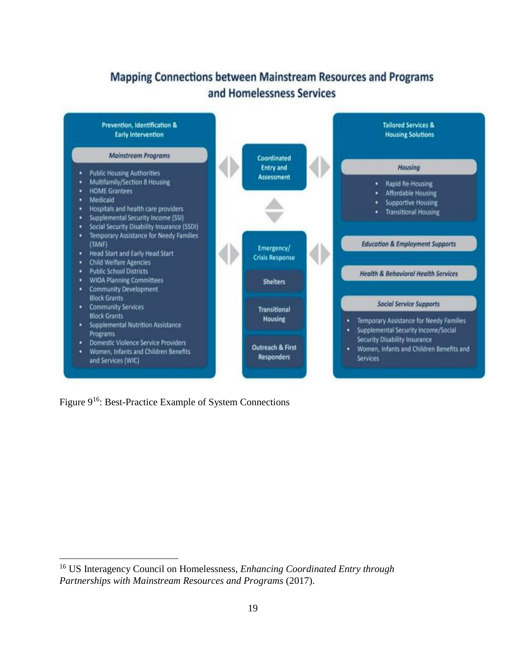## **Mapping Connections between Mainstream Resources and Programs** and Homelessness Services



Figure 9<sup>16</sup>: Best-Practice Example of System Connections

<sup>16</sup> US Interagency Council on Homelessness, *Enhancing Coordinated Entry through Partnerships with Mainstream Resources and Programs* (2017).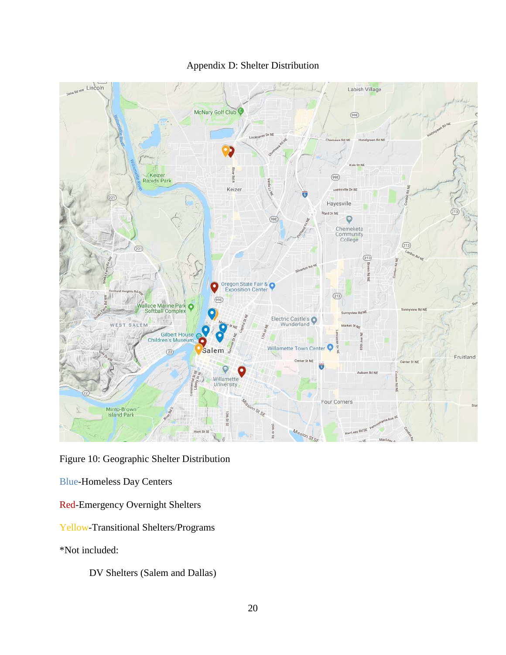

### Appendix D: Shelter Distribution

Figure 10: Geographic Shelter Distribution

Blue-Homeless Day Centers

Red-Emergency Overnight Shelters

Yellow-Transitional Shelters/Programs

\*Not included:

DV Shelters (Salem and Dallas)